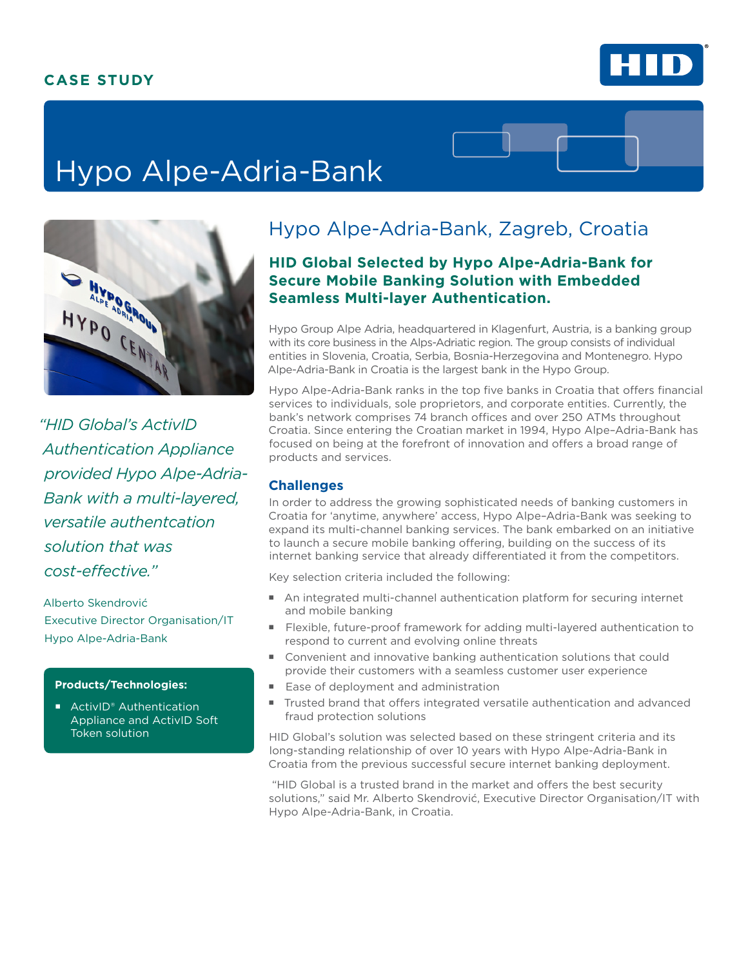# **CASE STUDY**



# Hypo Alpe-Adria-Bank



*"HID Global's ActivID Authentication Appliance provided Hypo Alpe-Adria-Bank with a multi-layered, versatile authentcation solution that was cost-effective."* 

Alberto Skendrović Executive Director Organisation/IT Hypo Alpe-Adria-Bank

#### **Products/Technologies:**

■ ActivID<sup>®</sup> Authentication Appliance and ActivID Soft Token solution

# Hypo Alpe-Adria-Bank, Zagreb, Croatia

## **HID Global Selected by Hypo Alpe-Adria-Bank for Secure Mobile Banking Solution with Embedded Seamless Multi-layer Authentication.**

Hypo Group Alpe Adria, headquartered in Klagenfurt, Austria, is a banking group with its core business in the Alps-Adriatic region. The group consists of individual entities in Slovenia, Croatia, Serbia, Bosnia-Herzegovina and Montenegro. Hypo Alpe-Adria-Bank in Croatia is the largest bank in the Hypo Group.

Hypo Alpe-Adria-Bank ranks in the top five banks in Croatia that offers financial services to individuals, sole proprietors, and corporate entities. Currently, the bank's network comprises 74 branch offices and over 250 ATMs throughout Croatia. Since entering the Croatian market in 1994, Hypo Alpe–Adria-Bank has focused on being at the forefront of innovation and offers a broad range of products and services.

#### **Challenges**

In order to address the growing sophisticated needs of banking customers in Croatia for 'anytime, anywhere' access, Hypo Alpe–Adria-Bank was seeking to expand its multi-channel banking services. The bank embarked on an initiative to launch a secure mobile banking offering, building on the success of its internet banking service that already differentiated it from the competitors.

Key selection criteria included the following:

- An integrated multi-channel authentication platform for securing internet and mobile banking
- Flexible, future-proof framework for adding multi-layered authentication to respond to current and evolving online threats
- Convenient and innovative banking authentication solutions that could provide their customers with a seamless customer user experience
- Ease of deployment and administration
- Trusted brand that offers integrated versatile authentication and advanced fraud protection solutions

HID Global's solution was selected based on these stringent criteria and its long-standing relationship of over 10 years with Hypo Alpe-Adria-Bank in Croatia from the previous successful secure internet banking deployment.

 "HID Global is a trusted brand in the market and offers the best security solutions," said Mr. Alberto Skendrović, Executive Director Organisation/IT with Hypo Alpe-Adria-Bank, in Croatia.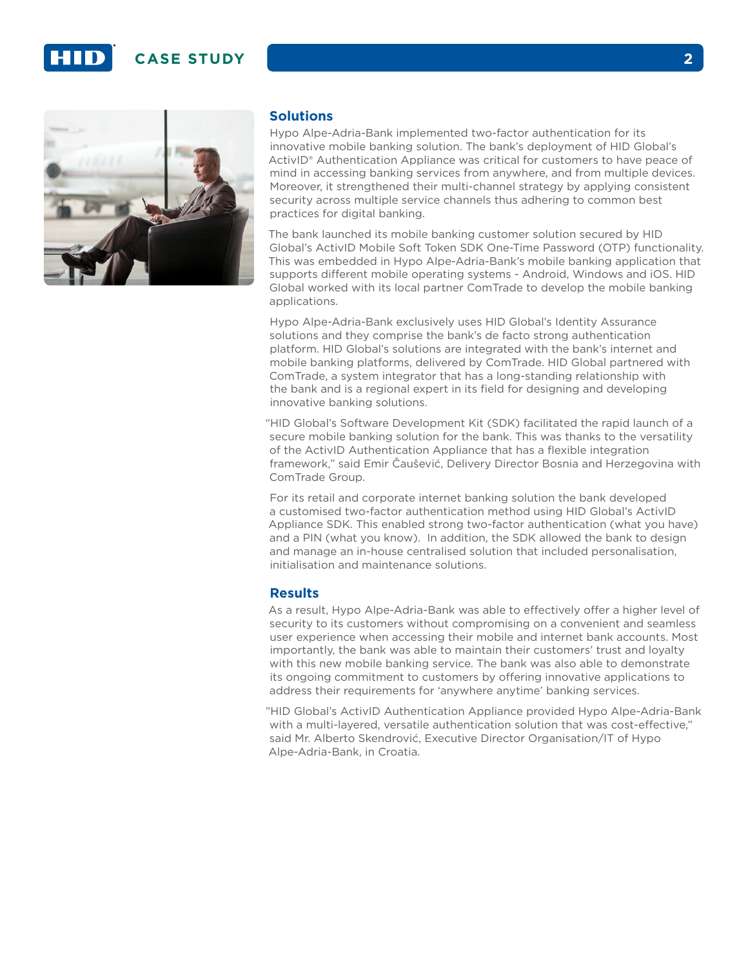## **CASE STUDY 2**





#### **Solutions**

Hypo Alpe-Adria-Bank implemented two-factor authentication for its innovative mobile banking solution. The bank's deployment of HID Global's ActivID® Authentication Appliance was critical for customers to have peace of mind in accessing banking services from anywhere, and from multiple devices. Moreover, it strengthened their multi-channel strategy by applying consistent security across multiple service channels thus adhering to common best practices for digital banking.

The bank launched its mobile banking customer solution secured by HID Global's ActivID Mobile Soft Token SDK One-Time Password (OTP) functionality. This was embedded in Hypo Alpe-Adria-Bank's mobile banking application that supports different mobile operating systems - Android, Windows and iOS. HID Global worked with its local partner ComTrade to develop the mobile banking applications.

Hypo Alpe-Adria-Bank exclusively uses HID Global's Identity Assurance solutions and they comprise the bank's de facto strong authentication platform. HID Global's solutions are integrated with the bank's internet and mobile banking platforms, delivered by ComTrade. HID Global partnered with ComTrade, a system integrator that has a long-standing relationship with the bank and is a regional expert in its field for designing and developing innovative banking solutions.

"HID Global's Software Development Kit (SDK) facilitated the rapid launch of a secure mobile banking solution for the bank. This was thanks to the versatility of the ActivID Authentication Appliance that has a flexible integration framework," said Emir Čaušević, Delivery Director Bosnia and Herzegovina with ComTrade Group.

For its retail and corporate internet banking solution the bank developed a customised two-factor authentication method using HID Global's ActivID Appliance SDK. This enabled strong two-factor authentication (what you have) and a PIN (what you know). In addition, the SDK allowed the bank to design and manage an in-house centralised solution that included personalisation, initialisation and maintenance solutions.

#### **Results**

As a result, Hypo Alpe-Adria-Bank was able to effectively offer a higher level of security to its customers without compromising on a convenient and seamless user experience when accessing their mobile and internet bank accounts. Most importantly, the bank was able to maintain their customers' trust and loyalty with this new mobile banking service. The bank was also able to demonstrate its ongoing commitment to customers by offering innovative applications to address their requirements for 'anywhere anytime' banking services.

"HID Global's ActivID Authentication Appliance provided Hypo Alpe-Adria-Bank with a multi-layered, versatile authentication solution that was cost-effective," said Mr. Alberto Skendrović, Executive Director Organisation/IT of Hypo Alpe-Adria-Bank, in Croatia.